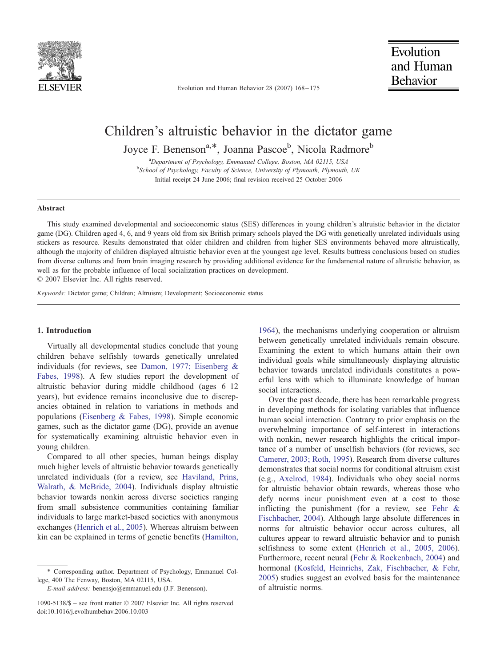

Evolution and Human Behavior 28 (2007) 168 – 175

# Children's altruistic behavior in the dictator game

Joyce F. Benenson<sup>a,\*</sup>, Joanna Pascoe<sup>b</sup>, Nicola Radmore<sup>b</sup>

<sup>a</sup> Department of Psychology, Emmanuel College, Boston, MA 02115, USA<br><sup>b</sup>School of Psychology, Equilized Science, University of Phynouth, Phynouth <sup>b</sup>School of Psychology, Faculty of Science, University of Plymouth, Plymouth, UK Initial receipt 24 June 2006; final revision received 25 October 2006

### Abstract

This study examined developmental and socioeconomic status (SES) differences in young children's altruistic behavior in the dictator game (DG). Children aged 4, 6, and 9 years old from six British primary schools played the DG with genetically unrelated individuals using stickers as resource. Results demonstrated that older children and children from higher SES environments behaved more altruistically, although the majority of children displayed altruistic behavior even at the youngest age level. Results buttress conclusions based on studies from diverse cultures and from brain imaging research by providing additional evidence for the fundamental nature of altruistic behavior, as well as for the probable influence of local socialization practices on development.

 $\odot$  2007 Elsevier Inc. All rights reserved.

Keywords: Dictator game; Children; Altruism; Development; Socioeconomic status

# 1. Introduction

Virtually all developmental studies conclude that young children behave selfishly towards genetically unrelated individuals (for reviews, see [Damon,](#page-7-0) [1977;](#page-7-0) [Eisenberg](#page-7-0) [&](#page-7-0) Fabes, 1998). A few studies report the development of altruistic behavior during middle childhood (ages 6–12 years), but evidence remains inconclusive due to discrepancies obtained in relation to variations in methods and populations ([Eisenberg](#page-7-0) [&](#page-7-0) [Fabes,](#page-7-0) [1998\)](#page-7-0). Simple economic games, such as the dictator game (DG), provide an avenue for systematically examining altruistic behavior even in young children.

Compared to all other species, human beings display much higher levels of altruistic behavior towards genetically unrelated individuals (for a review, see [Haviland,](#page-7-0) [Prins,](#page-7-0) Walrath, & McBride, 2004). Individuals display altruistic behavior towards nonkin across diverse societies ranging from small subsistence communities containing familiar individuals to large market-based societies with anonymous exchanges ([Henrich](#page-7-0) [et](#page-7-0) [al.,](#page-7-0) [2005\)](#page-7-0). Whereas altruism between kin can be explained in terms of genetic benefits ([Hamilton,](#page-7-0)

E-mail address: benensjo@emmanuel.edu (J.F. Benenson).

1964), the mechanisms underlying cooperation or altruism between genetically unrelated individuals remain obscure. Examining the extent to which humans attain their own individual goals while simultaneously displaying altruistic behavior towards unrelated individuals constitutes a powerful lens with which to illuminate knowledge of human social interactions.

Over the past decade, there has been remarkable progress in developing methods for isolating variables that influence human social interaction. Contrary to prior emphasis on the overwhelming importance of self-interest in interactions with nonkin, newer research highlights the critical importance of a number of unselfish behaviors (for reviews, see [Camerer,](#page-7-0) [2003;](#page-7-0) [Roth,](#page-7-0) [1995\)](#page-7-0). Research from diverse cultures demonstrates that social norms for conditional altruism exist (e.g., [Axelrod, 1984\)](#page-7-0). Individuals who obey social norms for altruistic behavior obtain rewards, whereas those who defy norms incur punishment even at a cost to those inflicting the punishment (for a review, see [Fehr](#page-7-0) [&](#page-7-0) Fischbacher, 2004). Although large absolute differences in norms for altruistic behavior occur across cultures, all cultures appear to reward altruistic behavior and to punish selfishness to some extent ([Henrich](#page-7-0) [et](#page-7-0) [al.,](#page-7-0) [2005,](#page-7-0) [2006\)](#page-7-0). Furthermore, recent neural ([Fehr & Rockenbach, 2004\)](#page-7-0) and hormonal ([Kosfeld, Heinrichs, Zak, Fischbacher, & Fehr,](#page-7-0) 2005) studies suggest an evolved basis for the maintenance of altruistic norms.

<sup>4</sup> Corresponding author. Department of Psychology, Emmanuel College, 400 The Fenway, Boston, MA 02115, USA.

<sup>1090-5138/\$ –</sup> see front matter  $\odot$  2007 Elsevier Inc. All rights reserved. doi:10.1016/j.evolhumbehav.2006.10.003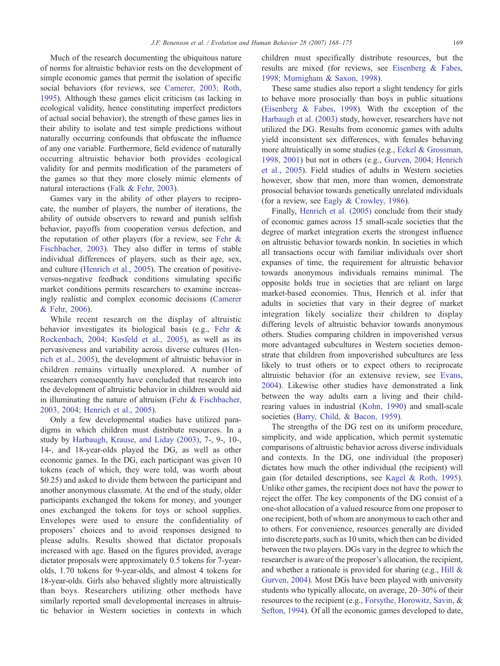Much of the research documenting the ubiquitous nature of norms for altruistic behavior rests on the development of simple economic games that permit t[he isolation of specific](#page-7-0) social behaviors (for reviews, see Camerer, 2003; Roth, 1995). Although these games elicit criticism (as lacking in ecological validity, hence constituting imperfect predictors of actual social behavior), the strength of these games lies in their ability to isolate and test simple predictions without naturally occurring confounds that obfuscate the influence of any one variable. Furthermore, field evidence of naturally occurring altruistic behavior both provides ecological validity for and permits modification of the parameters of the games so that they more closely mimic elements of natural interactions ([Falk](#page-7-0) [&](#page-7-0) [Fehr,](#page-7-0) [2003\)](#page-7-0).

Games vary in the ability of other players to reciprocate, the number of players, the number of iterations, the ability of outside observers to reward and punish selfish behavior, payoffs from cooperation versus defection, and the reputation of other players (for a review, see [Fehr](#page-7-0) [&](#page-7-0) Fischbacher, 2003). They also differ in terms of stable individual differences of players, such as their age, sex, and culture ([Henrich](#page-7-0) [et](#page-7-0) [al.,](#page-7-0) [2005\)](#page-7-0). The creation of positiveversus-negative feedback conditions simulating specific market conditions permits researchers to examine increasingly realistic and complex economic decisions ([Camerer](#page-7-0) & Fehr, 2006).

While recent research on the display of altruistic behavior investigates its biological basis (e.g., [Fehr](#page-7-0) [&](#page-7-0) Rockenbach, 2004; Kosfeld et al., 2005), as well as its pervasiveness and variability across diverse cultures ([Hen](#page-7-0)rich et al., 2005), the development of altruistic behavior in children remains virtually unexplored. A number of researchers consequently have concluded that research into the development of altruistic behavior in children would aid in illuminating the nature of altruism ([Fehr](#page-7-0) [&](#page-7-0) [Fischbacher,](#page-7-0) 2003, 2004; Henrich et al., 2005).

Only a few developmental studies have utilized paradigms in which children must distribute resources. In a study by [Harbaugh,](#page-7-0) [Krause,](#page-7-0) [and](#page-7-0) [Liday](#page-7-0) [\(2003\),](#page-7-0) 7-, 9-, 10-, 14-, and 18-year-olds played the DG, as well as other economic games. In the DG, each participant was given 10 tokens (each of which, they were told, was worth about \$0.25) and asked to divide them between the participant and another anonymous classmate. At the end of the study, older participants exchanged the tokens for money, and younger ones exchanged the tokens for toys or school supplies. Envelopes were used to ensure the confidentiality of proposers' choices and to avoid responses designed to please adults. Results showed that dictator proposals increased with age. Based on the figures provided, average dictator proposals were approximately 0.5 tokens for 7-yearolds, 1.70 tokens for 9-year-olds, and almost 4 tokens for 18-year-olds. Girls also behaved slightly more altruistically than boys. Researchers utilizing other methods have similarly reported small developmental increases in altruistic behavior in Western societies in contexts in which children must specifically distribute resources, but the results are mixed (for reviews, see [Eisenberg](#page-7-0) [&](#page-7-0) [Fabes,](#page-7-0) 1998; Murnigham & Saxon, 1998).

These same studies also report a slight tendency for girls t[o behave more prosocially](#page-7-0) than boys in public situations (Eisenberg & Fabes, 1998). With the exception of the [Harbaugh](#page-7-0) [et](#page-7-0) [al.](#page-7-0) [\(2003\)](#page-7-0) study, however, researchers have not utilized the DG. Results from economic games with adults yield inconsistent sex differences, with females behaving more altruistically in some studies (e.g., [Eckel](#page-7-0) [&](#page-7-0) [Grossman,](#page-7-0) 1998, 2001) but not in others (e.g., [Gurven,](#page-7-0) [2004;](#page-7-0) [Henrich](#page-7-0) et al., 2005). Field studies of adults in Western societies however, show that men, more than women, demonstrate prosocial behavior towards genetically unrelated individuals (for a review, see [Eagly](#page-7-0) [&](#page-7-0) [Crowley,](#page-7-0) [1986\)](#page-7-0).

Finally, [Henrich](#page-7-0) [et](#page-7-0) [al.](#page-7-0) [\(2005\)](#page-7-0) conclude from their study of economic games across 15 small-scale societies that the degree of market integration exerts the strongest influence on altruistic behavior towards nonkin. In societies in which all transactions occur with familiar individuals over short expanses of time, the requirement for altruistic behavior towards anonymous individuals remains minimal. The opposite holds true in societies that are reliant on large market-based economies. Thus, Henrich et al. infer that adults in societies that vary in their degree of market integration likely socialize their children to display differing levels of altruistic behavior towards anonymous others. Studies comparing children in impoverished versus more advantaged subcultures in Western societies demonstrate that children from impoverished subcultures are less likely to trust others or to expect others to reciprocate altruistic behavior (for an extensive review, see [Evans,](#page-7-0) 2004). Likewise other studies have demonstrated a link between the way adults earn a living and their childrearing values in industrial ([Kohn,](#page-7-0) [1990\)](#page-7-0) and small-scale societies ([Barry,](#page-7-0) [Child,](#page-7-0) [&](#page-7-0) [Bacon,](#page-7-0) [1959\)](#page-7-0).

The strengths of the DG rest on its uniform procedure, simplicity, and wide application, which permit systematic comparisons of altruistic behavior across diverse individuals and contexts. In the DG, one individual (the proposer) dictates how much the other individual (the recipient) will gain (for detailed descriptions, see [Kagel & Roth, 1995\)](#page-7-0). Unlike other games, the recipient does not have the power to reject the offer. The key components of the DG consist of a one-shot allocation of a valued resource from one proposer to one recipient, both of whom are anonymous to each other and to others. For convenience, resources generally are divided into discrete parts, such as 10 units, which then can be divided between the two players. DGs vary in the degree to which the researcher is aware of the proposer's allocation, the recipient, and whether a rationale is provided for sharing (e.g., [Hill](#page-7-0) [&](#page-7-0) Gurven, 2004). Most DGs have been played with university students who typically allocate, on average, 20–30% of their resources to the recipient (e.g., [Forsythe, Horowitz, Savin, &](#page-7-0) Sefton, 1994). Of all the economic games developed to date,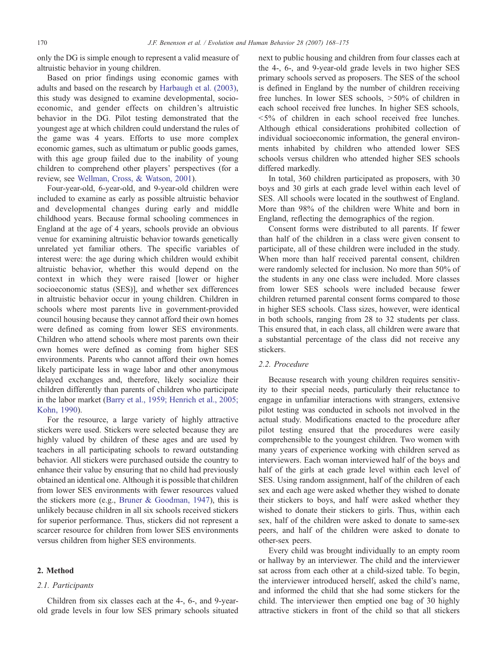only the DG is simple enough to represent a valid measure of altruistic behavior in young children.

Based on prior findings using [economic games with](#page-7-0) adults and based on the research by Harbaugh et al. (2003), this study was designed to examine developmental, socioeconomic, and gender effects on children's altruistic behavior in the DG. Pilot testing demonstrated that the youngest age at which children could understand the rules of the game was 4 years. Efforts to use more complex economic games, such as ultimatum or public goods games, with this age group failed due to the inability of young children to comprehend other players' perspectives (for a review, see [Wellman,](#page-7-0) [Cross,](#page-7-0) [&](#page-7-0) [Watson,](#page-7-0) [2001\)](#page-7-0).

Four-year-old, 6-year-old, and 9-year-old children were included to examine as early as possible altruistic behavior and developmental changes during early and middle childhood years. Because formal schooling commences in England at the age of 4 years, schools provide an obvious venue for examining altruistic behavior towards genetically unrelated yet familiar others. The specific variables of interest were: the age during which children would exhibit altruistic behavior, whether this would depend on the context in which they were raised [lower or higher socioeconomic status (SES)], and whether sex differences in altruistic behavior occur in young children. Children in schools where most parents live in government-provided council housing because they cannot afford their own homes were defined as coming from lower SES environments. Children who attend schools where most parents own their own homes were defined as coming from higher SES environments. Parents who cannot afford their own homes likely participate less in wage labor and other anonymous delayed exchanges and, therefore, likely socialize their children differently than parents of children who participate in the labor market ([Barry](#page-7-0) [et](#page-7-0) [al.,](#page-7-0) [1959;](#page-7-0) [Henrich](#page-7-0) [et](#page-7-0) [al.,](#page-7-0) [2005;](#page-7-0) Kohn, 1990).

For the resource, a large variety of highly attractive stickers were used. Stickers were selected because they are highly valued by children of these ages and are used by teachers in all participating schools to reward outstanding behavior. All stickers were purchased outside the country to enhance their value by ensuring that no child had previously obtained an identical one. Although it is possible that children from lower SES environments with fewer resources valued the stickers more (e.g., [Bruner](#page-7-0) [&](#page-7-0) [Goodman,](#page-7-0) [1947\)](#page-7-0), this is unlikely because children in all six schools received stickers for superior performance. Thus, stickers did not represent a scarcer resource for children from lower SES environments versus children from higher SES environments.

## 2. Method

### 2.1. Participants

Children from six classes each at the 4-, 6-, and 9-yearold grade levels in four low SES primary schools situated next to public housing and children from four classes each at the 4-, 6-, and 9-year-old grade levels in two higher SES primary schools served as proposers. The SES of the school is defined in England by the number of children receiving free lunches. In lower SES schools,  $>50\%$  of children in each school received free lunches. In higher SES schools,  $5\%$  of children in each school received free lunches. Although ethical considerations prohibited collection of individual socioeconomic information, the general environments inhabited by children who attended lower SES schools versus children who attended higher SES schools differed markedly.

In total, 360 children participated as proposers, with 30 boys and 30 girls at each grade level within each level of SES. All schools were located in the southwest of England. More than 98% of the children were White and born in England, reflecting the demographics of the region.

Consent forms were distributed to all parents. If fewer than half of the children in a class were given consent to participate, all of these children were included in the study. When more than half received parental consent, children were randomly selected for inclusion. No more than 50% of the students in any one class were included. More classes from lower SES schools were included because fewer children returned parental consent forms compared to those in higher SES schools. Class sizes, however, were identical in both schools, ranging from 28 to 32 students per class. This ensured that, in each class, all children were aware that a substantial percentage of the class did not receive any stickers.

# 2.2. Procedure

Because research with young children requires sensitivity to their special needs, particularly their reluctance to engage in unfamiliar interactions with strangers, extensive pilot testing was conducted in schools not involved in the actual study. Modifications enacted to the procedure after pilot testing ensured that the procedures were easily comprehensible to the youngest children. Two women with many years of experience working with children served as interviewers. Each woman interviewed half of the boys and half of the girls at each grade level within each level of SES. Using random assignment, half of the children of each sex and each age were asked whether they wished to donate their stickers to boys, and half were asked whether they wished to donate their stickers to girls. Thus, within each sex, half of the children were asked to donate to same-sex peers, and half of the children were asked to donate to other-sex peers.

Every child was brought individually to an empty room or hallway by an interviewer. The child and the interviewer sat across from each other at a child-sized table. To begin, the interviewer introduced herself, asked the child's name, and informed the child that she had some stickers for the child. The interviewer then emptied one bag of 30 highly attractive stickers in front of the child so that all stickers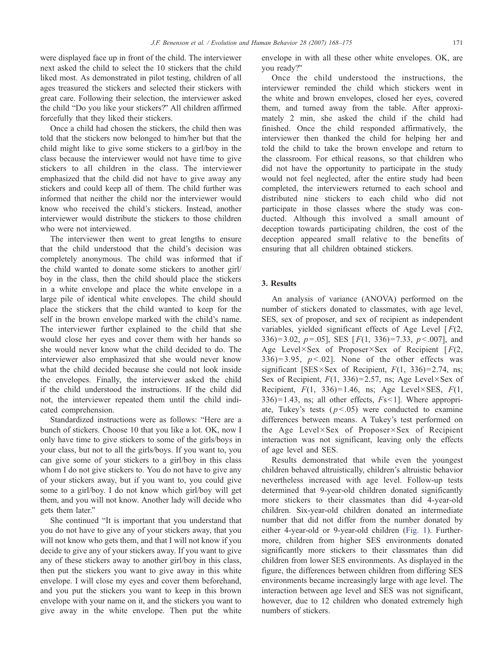were displayed face up in front of the child. The interviewer next asked the child to select the 10 stickers that the child liked most. As demonstrated in pilot testing, children of all ages treasured the stickers and selected their stickers with great care. Following their selection, the interviewer asked the child "Do you like your stickers?" All children affirmed forcefully that they liked their stickers.

Once a child had chosen the stickers, the child then was told that the stickers now belonged to him/her but that the child might like to give some stickers to a girl/boy in the class because the interviewer would not have time to give stickers to all children in the class. The interviewer emphasized that the child did not have to give away any stickers and could keep all of them. The child further was informed that neither the child nor the interviewer would know who received the child's stickers. Instead, another interviewer would distribute the stickers to those children who were not interviewed.

The interviewer then went to great lengths to ensure that the child understood that the child's decision was completely anonymous. The child was informed that if the child wanted to donate some stickers to another girl/ boy in the class, then the child should place the stickers in a white envelope and place the white envelope in a large pile of identical white envelopes. The child should place the stickers that the child wanted to keep for the self in the brown envelope marked with the child's name. The interviewer further explained to the child that she would close her eyes and cover them with her hands so she would never know what the child decided to do. The interviewer also emphasized that she would never know what the child decided because she could not look inside the envelopes. Finally, the interviewer asked the child if the child understood the instructions. If the child did not, the interviewer repeated them until the child indicated comprehension.

Standardized instructions were as follows: "Here are a bunch of stickers. Choose 10 that you like a lot. OK, now I only have time to give stickers to some of the girls/boys in your class, but not to all the girls/boys. If you want to, you can give some of your stickers to a girl/boy in this class whom I do not give stickers to. You do not have to give any of your stickers away, but if you want to, you could give some to a girl/boy. I do not know which girl/boy will get them, and you will not know. Another lady will decide who gets them later."

She continued "It is important that you understand that you do not have to give any of your stickers away, that you will not know who gets them, and that I will not know if you decide to give any of your stickers away. If you want to give any of these stickers away to another girl/boy in this class, then put the stickers you want to give away in this white envelope. I will close my eyes and cover them beforehand, and you put the stickers you want to keep in this brown envelope with your name on it, and the stickers you want to give away in the white envelope. Then put the white envelope in with all these other white envelopes. OK, are you ready?"

Once the child understood the instructions, the interviewer reminded the child which stickers went in the white and brown envelopes, closed her eyes, covered them, and turned away from the table. After approximately 2 min, she asked the child if the child had finished. Once the child responded affirmatively, the interviewer then thanked the child for helping her and told the child to take the brown envelope and return to the classroom. For ethical reasons, so that children who did not have the opportunity to participate in the study would not feel neglected, after the entire study had been completed, the interviewers returned to each school and distributed nine stickers to each child who did not participate in those classes where the study was conducted. Although this involved a small amount of deception towards participating children, the cost of the deception appeared small relative to the benefits of ensuring that all children obtained stickers.

## 3. Results

An analysis of variance (ANOVA) performed on the number of stickers donated to classmates, with age level, SES, sex of proposer, and sex of recipient as independent variables, yielded significant effects of Age Level  $[F(2,$ 336)= 3.02, p = 0.05], SES [ $F(1, 336) = 7.33$ , p < 0.007], and Age Level×Sex of Proposer×Sex of Recipient [ $F(2,$  $336$ )= 3.95,  $p < .02$ ]. None of the other effects was significant [SES×Sex of Recipient,  $F(1, 336)=2.74$ , ns; Sex of Recipient,  $F(1, 336)=2.57$ , ns; Age Level×Sex of Recipient,  $F(1, 336)=1.46$ , ns; Age Level×SES,  $F(1, 336)=1.46$ , ns; Age Level×SES,  $F(1, 336)=1.46$  $336$ )=1.43, ns; all other effects,  $Fs<1$ ]. Where appropriate, Tukey's tests  $(p<0.05)$  were conducted to examine differences between means. A Tukey's test performed on the Age Level×Sex of Proposer×Sex of Recipient interaction was not significant, leaving only the effects of age level and SES.

Results demonstrated that while even the youngest children behaved altruistically, children's altruistic behavior nevertheless increased with age level. Follow-up tests determined that 9-year-old children donated significantly more stickers to their classmates than did 4-year-old children. Six-year-old children donated an intermediate number that did not differ from the number donated by either 4-year-old or 9-year-old children ([Fig.](#page-4-0) [1\)](#page-4-0). Furthermore, children from higher SES environments donated significantly more stickers to their classmates than did children from lower SES environments. As displayed in the figure, the differences between children from differing SES environments became increasingly large with age level. The interaction between age level and SES was not significant, however, due to 12 children who donated extremely high numbers of stickers.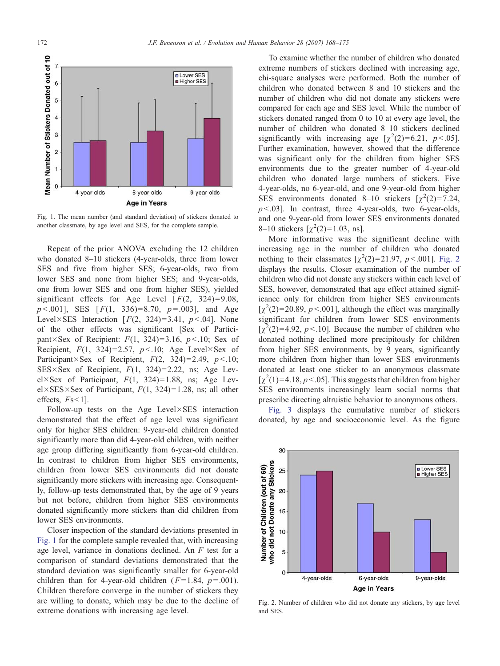<span id="page-4-0"></span>

Fig. 1. The mean number (and standard deviation) of stickers donated to another classmate, by age level and SES, for the complete sample.

Repeat of the prior ANOVA excluding the 12 children who donated 8–10 stickers (4-year-olds, three from lower SES and five from higher SES; 6-year-olds, two from lower SES and none from higher SES; and 9-year-olds, one from lower SES and one from higher SES), yielded significant effects for Age Level  $[F(2, 324)=9.08$ ,  $p < .001$ ], SES [ $F(1, 336)=8.70$ ,  $p = .003$ ], and Age Level×SES Interaction [ $F(2, 324)=3.41$ ,  $p < .04$ ]. None of the other effects was significant [Sex of Participant×Sex of Recipient:  $F(1, 324)=3.16$ ,  $p<.10$ ; Sex of Recipient,  $F(1, 324)=2.57$ ,  $p<.10$ ; Age Level×Sex of Participant×Sex of Recipient,  $F(2, 324)=2.49$ ,  $p<.10$ ;  $SES \times Sex$  of Recipient,  $F(1, 324)=2.22$ , ns; Age Level×Sex of Participant,  $F(1, 324)=1.88$ , ns; Age Lev $el \times SES \times Sex$  of Participant,  $F(1, 324)=1.28$ , ns; all other effects,  $Fs<1$ ].

Follow-up tests on the Age Level×SES interaction demonstrated that the effect of age level was significant only for higher SES children: 9-year-old children donated significantly more than did 4-year-old children, with neither age group differing significantly from 6-year-old children. In contrast to children from higher SES environments, children from lower SES environments did not donate significantly more stickers with increasing age. Consequently, follow-up tests demonstrated that, by the age of 9 years but not before, children from higher SES environments donated significantly more stickers than did children from lower SES environments.

Closer inspection of the standard deviations presented in Fig. 1 for the complete sample revealed that, with increasing age level, variance in donations declined. An F test for a comparison of standard deviations demonstrated that the standard deviation was significantly smaller for 6-year-old children than for 4-year-old children  $(F=1.84, p=.001)$ . Children therefore converge in the number of stickers they are willing to donate, which may be due to the decline of extreme donations with increasing age level.

To examine whether the number of children who donated extreme numbers of stickers declined with increasing age, chi-square analyses were performed. Both the number of children who donated between 8 and 10 stickers and the number of children who did not donate any stickers were compared for each age and SES level. While the number of stickers donated ranged from 0 to 10 at every age level, the number of children who donated 8–10 stickers declined significantly with increasing age  $[\chi^2(2)=6.21, p<.05]$ . Further examination, however, showed that the difference was significant only for the children from higher SES environments due to the greater number of 4-year-old children who donated large numbers of stickers. Five 4-year-olds, no 6-year-old, and one 9-year-old from higher SES environments donated 8–10 stickers  $[\chi^2(2)=7.24,$  $p < .03$ ]. In contrast, three 4-year-olds, two 6-year-olds, and one 9-year-old from lower SES environments donated 8–10 stickers  $[\chi^2(2)=1.03, \text{ ns}].$ 

More informative was the significant decline with increasing age in the number of children who donated nothing to their classmates  $[\chi^2(2)=21.97, p<0.01]$ . Fig. 2 displays the results. Closer examination of the number of children who did not donate any stickers within each level of SES, however, demonstrated that age effect attained significance only for children from higher SES environments  $[\chi^2(2)=20.89, p<.001]$ , although the effect was marginally significant for children from lower SES environments  $[\chi^2(2)=4.92, p<.10]$ . Because the number of children who donated nothing declined more precipitously for children from higher SES environments, by 9 years, significantly more children from higher than lower SES environments donated at least one sticker to an anonymous classmate  $[\chi^2(1) = 4.18, p < .05]$ . This suggests that children from higher SES environments increasingly learn social norms that prescribe directing altruistic behavior to anonymous others.

[Fig.](#page-5-0) [3](#page-5-0) displays the cumulative number of stickers donated, by age and socioeconomic level. As the figure



Fig. 2. Number of children who did not donate any stickers, by age level and SES.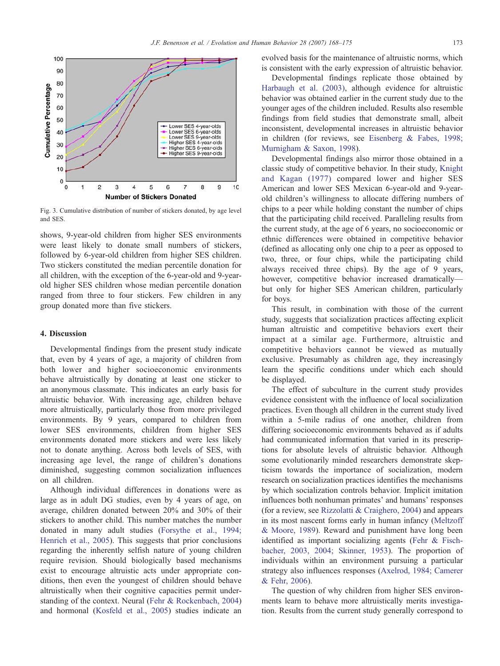<span id="page-5-0"></span>

Fig. 3. Cumulative distribution of number of stickers donated, by age level and SES.

shows, 9-year-old children from higher SES environments were least likely to donate small numbers of stickers, followed by 6-year-old children from higher SES children. Two stickers constituted the median percentile donation for all children, with the exception of the 6-year-old and 9-yearold higher SES children whose median percentile donation ranged from three to four stickers. Few children in any group donated more than five stickers.

## 4. Discussion

Developmental findings from the present study indicate that, even by 4 years of age, a majority of children from both lower and higher socioeconomic environments behave altruistically by donating at least one sticker to an anonymous classmate. This indicates an early basis for altruistic behavior. With increasing age, children behave more altruistically, particularly those from more privileged environments. By 9 years, compared to children from lower SES environments, children from higher SES environments donated more stickers and were less likely not to donate anything. Across both levels of SES, with increasing age level, the range of children's donations diminished, suggesting common socialization influences on all children.

Although individual differences in donations were as large as in adult DG studies, even by 4 years of age, on average, children donated between 20% and 30% of their stickers to another child. This number matches the number donated in many adult studies ([Forsythe](#page-7-0) [et](#page-7-0) [al.,](#page-7-0) [1994;](#page-7-0) Henrich et al., 2005). This suggests that prior conclusions regarding the inherently selfish nature of young children require revision. Should biologically based mechanisms exist to encourage altruistic acts under appropriate conditions, then even the youngest of children should behave altruistically when their cognitive capacities permit understanding of the context. Neural ([Fehr & Rockenbach, 2004\)](#page-7-0) and hormonal ([Kosfeld et al., 2005\)](#page-7-0) studies indicate an evolved basis for the maintenance of altruistic norms, which is consistent with the early expression of altruistic behavior.

[Developmental findin](#page-7-0)gs replicate those obtained by Harbaugh et al. (2003), although evidence for altruistic behavior was obtained earlier in the current study due to the younger ages of the children included. Results also resemble findings from field studies that demonstrate small, albeit inconsistent, developmental inc[reases in altruistic behavior](#page-7-0) in children (for reviews, see Eisenberg & Fabes, 1998; Murnigham & Saxon, 1998).

Developmental findings also mirror those obtain[ed in a](#page-7-0) classic study of competitive behavior. In their study, Knight and Kagan (1977) compared lower and higher SES American and lower SES Mexican 6-year-old and 9-yearold children's willingness to allocate differing numbers of chips to a peer while holding constant the number of chips that the participating child received. Paralleling results from the current study, at the age of 6 years, no socioeconomic or ethnic differences were obtained in competitive behavior (defined as allocating only one chip to a peer as opposed to two, three, or four chips, while the participating child always received three chips). By the age of 9 years, however, competitive behavior increased dramatically but only for higher SES American children, particularly for boys.

This result, in combination with those of the current study, suggests that socialization practices affecting explicit human altruistic and competitive behaviors exert their impact at a similar age. Furthermore, altruistic and competitive behaviors cannot be viewed as mutually exclusive. Presumably as children age, they increasingly learn the specific conditions under which each should be displayed.

The effect of subculture in the current study provides evidence consistent with the influence of local socialization practices. Even though all children in the current study lived within a 5-mile radius of one another, children from differing socioeconomic environments behaved as if adults had communicated information that varied in its prescriptions for absolute levels of altruistic behavior. Although some evolutionarily minded researchers demonstrate skepticism towards the importance of socialization, modern research on socialization practices identifies the mechanisms by which socialization controls behavior. Implicit imitation influences both nonhuman primates' and humans' responses (for a review, see [Rizzolatti](#page-7-0) [&](#page-7-0) [Craighero,](#page-7-0) [2004\)](#page-7-0) and appears in its most nascent forms early in human infancy ([Meltzoff](#page-7-0) & Moore, 1989). Reward and punishment have long been identified as important socializing agents ([Fehr](#page-7-0) [&](#page-7-0) [Fisch](#page-7-0)bacher, 2003, 2004; Skinner, 1953). The proportion of individuals within an environment pursuing a particular strategy also influences responses ([Axelrod,](#page-7-0) [1984;](#page-7-0) [Camerer](#page-7-0) & Fehr, 2006).

The question of why children from higher SES environments learn to behave more altruistically merits investigation. Results from the current study generally correspond to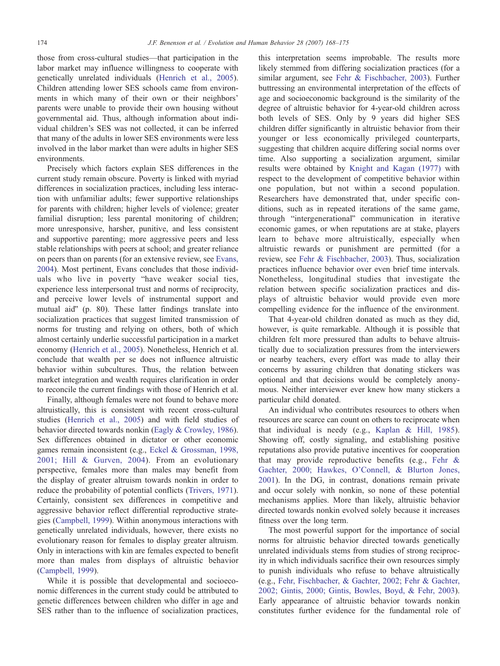those from cross-cultural studies—that participation in the labor market may influence willin[gness to cooperate with](#page-7-0) genetically unrelated individuals (Henrich et al., 2005). Children attending lower SES schools came from environments in which many of their own or their neighbors' parents were unable to provide their own housing without governmental aid. Thus, although information about individual children's SES was not collected, it can be inferred that many of the adults in lower SES environments were less involved in the labor market than were adults in higher SES environments.

Precisely which factors explain SES differences in the current study remain obscure. Poverty is linked with myriad differences in socialization practices, including less interaction with unfamiliar adults; fewer supportive relationships for parents with children; higher levels of violence; greater familial disruption; less parental monitoring of children; more unresponsive, harsher, punitive, and less consistent and supportive parenting; more aggressive peers and less stable relationships with peers at school; and greater reliance on peers than on parents (for an extensive review, see [Evans,](#page-7-0) 2004). Most pertinent, Evans concludes that those individuals who live in poverty "have weaker social ties, experience less interpersonal trust and norms of reciprocity, and perceive lower levels of instrumental support and mutual aid" (p. 80). These latter findings translate into socialization practices that suggest limited transmission of norms for trusting and relying on others, both of which almost certainly underlie successful participation in a market economy ([Henrich](#page-7-0) [et](#page-7-0) [al.,](#page-7-0) [2005\)](#page-7-0). Nonetheless, Henrich et al. conclude that wealth per se does not influence altruistic behavior within subcultures. Thus, the relation between market integration and wealth requires clarification in order to reconcile the current findings with those of Henrich et al.

Finally, although females were not found to behave more altruistically, this is consistent with recent cross-cultural studies ([Henrich](#page-7-0) [et](#page-7-0) [al.,](#page-7-0) [2005\)](#page-7-0) and with field studies of behavior directed towards nonkin ([Eagly](#page-7-0) [&](#page-7-0) [Crowley,](#page-7-0) [1986\)](#page-7-0). Sex differences obtained in dictator or other economic games remain inconsistent (e.g., [Eckel](#page-7-0) [&](#page-7-0) [Grossman,](#page-7-0) [1998,](#page-7-0) 2001; Hill & Gurven, 2004). From an evolutionary perspective, females more than males may benefit from the display of greater altruism towards nonkin in order to reduce the probability of potential conflicts ([Trivers,](#page-7-0) [1971\)](#page-7-0). Certainly, consistent sex differences in competitive and aggressive behavior reflect differential reproductive strategies [\(Campbell,](#page-7-0) [1999\)](#page-7-0). Within anonymous interactions with genetically unrelated individuals, however, there exists no evolutionary reason for females to display greater altruism. Only in interactions with kin are females expected to benefit more than males from displays of altruistic behavior ([Campbell,](#page-7-0) [1999\)](#page-7-0).

While it is possible that developmental and socioeconomic differences in the current study could be attributed to genetic differences between children who differ in age and SES rather than to the influence of socialization practices, this interpretation seems improbable. The results more likely stemmed from d[iffering socialization practic](#page-7-0)es (for a similar argument, see Fehr & Fischbacher, 2003). Further buttressing an environmental interpretation of the effects of age and socioeconomic background is the similarity of the degree of altruistic behavior for 4-year-old children across both levels of SES. Only by 9 years did higher SES children differ significantly in altruistic behavior from their younger or less economically privileged counterparts, suggesting that children acquire differing social norms over time. Also supporting a [socialization argument, sim](#page-7-0)ilar results were obtained by Knight and Kagan (1977) with respect to the development of competitive behavior within one population, but not within a second population. Researchers have demonstrated that, under specific conditions, such as in repeated iterations of the same game, through "intergenerational" communication in iterative economic games, or when reputations are at stake, players learn to behave more altruistically, especially when altruistic rewards or punishment are permitted (for a review, see [Fehr](#page-7-0) [&](#page-7-0) [Fischbacher,](#page-7-0) [2003\)](#page-7-0). Thus, socialization practices influence behavior over even brief time intervals. Nonetheless, longitudinal studies that investigate the relation between specific socialization practices and displays of altruistic behavior would provide even more compelling evidence for the influence of the environment.

That 4-year-old children donated as much as they did, however, is quite remarkable. Although it is possible that children felt more pressured than adults to behave altruistically due to socialization pressures from the interviewers or nearby teachers, every effort was made to allay their concerns by assuring children that donating stickers was optional and that decisions would be completely anonymous. Neither interviewer ever knew how many stickers a particular child donated.

An individual who contributes resources to others when resources are scarce can count on others to reciprocate when that individual is needy (e.g., [Kaplan](#page-7-0) [&](#page-7-0) [Hill,](#page-7-0) [1985\)](#page-7-0). Showing off, costly signaling, and establishing positive reputations also provide putative incentives for cooperation that may provide reproductive benefits (e.g., [Fehr](#page-7-0) [&](#page-7-0) Gachter, 2000; Hawkes, O'Connell, & Blurton Jones, 2001). In the DG, in contrast, donations remain private and occur solely with nonkin, so none of these potential mechanisms applies. More than likely, altruistic behavior directed towards nonkin evolved solely because it increases fitness over the long term.

The most powerful support for the importance of social norms for altruistic behavior directed towards genetically unrelated individuals stems from studies of strong reciprocity in which individuals sacrifice their own resources simply to punish individuals who refuse to behave altruistically (e.g., [Fehr,](#page-7-0) [Fischbacher,](#page-7-0) [&](#page-7-0) [Gachter,](#page-7-0) [2002;](#page-7-0) [Fehr](#page-7-0) [&](#page-7-0) [Gachter,](#page-7-0) 2002; Gintis, 2000; Gintis, Bowles, Boyd, & Fehr, 2003). Early appearance of altruistic behavior towards nonkin constitutes further evidence for the fundamental role of